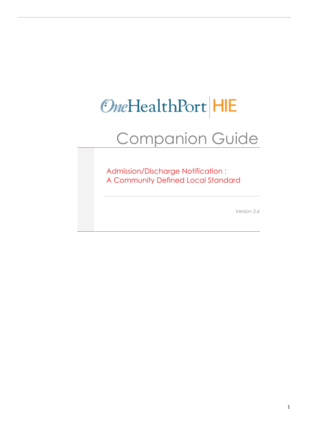# OneHealthPort HIE

## Companion Guide

Admission/Discharge Notification : A Community Defined Local Standard

Version 2.6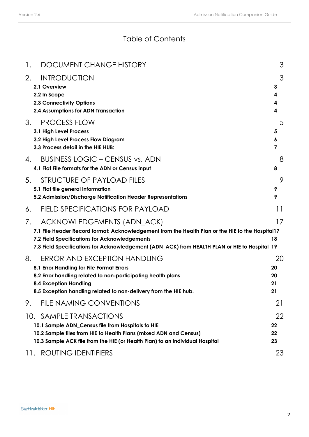### Table of Contents

| 1. | <b>DOCUMENT CHANGE HISTORY</b>                                                                                                                                                                                                                                                   |                            | 3 |
|----|----------------------------------------------------------------------------------------------------------------------------------------------------------------------------------------------------------------------------------------------------------------------------------|----------------------------|---|
| 2. | <b>INTRODUCTION</b><br>2.1 Overview<br>2.2 In Scope<br><b>2.3 Connectivity Options</b><br>2.4 Assumptions for ADN Transaction                                                                                                                                                    | 3<br>4<br>4<br>4           | 3 |
| 3. | <b>PROCESS FLOW</b><br>3.1 High Level Process<br>3.2 High Level Process Flow Diagram<br>3.3 Process detail in the HIE HUB:                                                                                                                                                       | 5<br>6<br>$\overline{7}$   | 5 |
| 4. | <b>BUSINESS LOGIC - CENSUS vs. ADN</b><br>4.1 Flat File formats for the ADN or Census input                                                                                                                                                                                      | 8                          | 8 |
| 5. | STRUCTURE OF PAYLOAD FILES<br>5.1 Flat file general information<br>5.2 Admission/Discharge Notification Header Representations                                                                                                                                                   | 9<br>9                     | 9 |
| 6. | <b>FIELD SPECIFICATIONS FOR PAYLOAD</b>                                                                                                                                                                                                                                          | 11                         |   |
| 7. | ACKNOWLEDGEMENTS (ADN_ACK)<br>7.1 File Header Record format: Acknowledgement from the Health Plan or the HIE to the Hospital17<br>7.2 Field Specifications for Acknowledgements<br>7.3 Field Specifications for Acknowledgement (ADN_ACK) from HEALTH PLAN or HIE to Hospital 19 | 17<br>18                   |   |
| 8. | <b>ERROR AND EXCEPTION HANDLING</b><br>8.1 Error Handling for File Format Errors<br>8.2 Error handling related to non-participating health plans<br><b>8.4 Exception Handling</b><br>8.5 Exception handling related to non-delivery from the HIE hub.                            | 20<br>20<br>20<br>21<br>21 |   |
| 9. | FILE NAMING CONVENTIONS                                                                                                                                                                                                                                                          | 21                         |   |
|    | 10. SAMPLE TRANSACTIONS<br>10.1 Sample ADN_Census file from Hospitals to HIE<br>10.2 Sample files from HIE to Health Plans (mixed ADN and Census)<br>10.3 Sample ACK file from the HIE (or Health Plan) to an individual Hospital                                                | 22<br>22<br>22<br>23       |   |
|    | <b>ROUTING IDENTIFIERS</b><br>11.                                                                                                                                                                                                                                                | 23                         |   |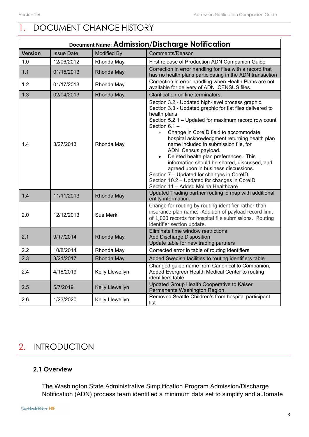### <span id="page-2-0"></span>1. DOCUMENT CHANGE HISTORY

| Document Name: Admission/Discharge Notification |                   |                    |                                                                                                                                                                                                                                                                                                                                                                                                                                                                                                                                                                                                                                                                      |  |  |  |  |  |
|-------------------------------------------------|-------------------|--------------------|----------------------------------------------------------------------------------------------------------------------------------------------------------------------------------------------------------------------------------------------------------------------------------------------------------------------------------------------------------------------------------------------------------------------------------------------------------------------------------------------------------------------------------------------------------------------------------------------------------------------------------------------------------------------|--|--|--|--|--|
| <b>Version</b>                                  | <b>Issue Date</b> | <b>Modified By</b> | Comments/Reason                                                                                                                                                                                                                                                                                                                                                                                                                                                                                                                                                                                                                                                      |  |  |  |  |  |
| 1.0                                             | 12/06/2012        | Rhonda May         | First release of Production ADN Companion Guide                                                                                                                                                                                                                                                                                                                                                                                                                                                                                                                                                                                                                      |  |  |  |  |  |
| 1.1                                             | 01/15/2013        | Rhonda May         | Correction in error handling for files with a record that<br>has no health plans participating in the ADN transaction                                                                                                                                                                                                                                                                                                                                                                                                                                                                                                                                                |  |  |  |  |  |
| 1.2                                             | 01/17/2013        | Rhonda May         | Correction in error handling when Health Plans are not<br>available for delivery of ADN CENSUS files.                                                                                                                                                                                                                                                                                                                                                                                                                                                                                                                                                                |  |  |  |  |  |
| 1.3                                             | 02/04/2013        | Rhonda May         | Clarification on line terminators.                                                                                                                                                                                                                                                                                                                                                                                                                                                                                                                                                                                                                                   |  |  |  |  |  |
| 1.4                                             | 3/27/2013         | Rhonda May         | Section 3.2 - Updated high-level process graphic.<br>Section 3.3 - Updated graphic for flat files delivered to<br>health plans.<br>Section 5.2.1 - Updated for maximum record row count<br>Section $6.1 -$<br>$\bullet$<br>Change in CorelD field to accommodate<br>hospital acknowledgment returning health plan<br>name included in submission file, for<br>ADN Census payload.<br>Deleted health plan preferences. This<br>$\bullet$<br>information should be shared, discussed, and<br>agreed upon in business discussions.<br>Section 7 - Updated for changes in CorelD<br>Section 10.2 - Updated for changes in CorelD<br>Section 11 - Added Molina Healthcare |  |  |  |  |  |
| 1.4                                             | 11/11/2013        | Rhonda May         | Updated Trading partner routing id map with additional<br>entity information.                                                                                                                                                                                                                                                                                                                                                                                                                                                                                                                                                                                        |  |  |  |  |  |
| 2.0                                             | 12/12/2013        | <b>Sue Merk</b>    | Change for routing by routing identifier rather than<br>insurance plan name. Addition of payload record limit<br>of 1,000 records for hospital file submissions. Routing<br>identifier section update.                                                                                                                                                                                                                                                                                                                                                                                                                                                               |  |  |  |  |  |
| 2.1                                             | 9/17/2014         | Rhonda May         | Eliminate time window restrictions<br><b>Add Discharge Disposition</b><br>Update table for new trading partners                                                                                                                                                                                                                                                                                                                                                                                                                                                                                                                                                      |  |  |  |  |  |
| 2.2                                             | 10/8/2014         | Rhonda May         | Corrected error in table of routing identifiers                                                                                                                                                                                                                                                                                                                                                                                                                                                                                                                                                                                                                      |  |  |  |  |  |
| 2.3                                             | 3/21/2017         | Rhonda May         | Added Swedish facilities to routing identifiers table                                                                                                                                                                                                                                                                                                                                                                                                                                                                                                                                                                                                                |  |  |  |  |  |
| 2.4                                             | 4/18/2019         | Kelly Llewellyn    | Changed guide name from Canonical to Companion,<br>Added EvergreenHealth Medical Center to routing<br>identifiers table                                                                                                                                                                                                                                                                                                                                                                                                                                                                                                                                              |  |  |  |  |  |
| 2.5                                             | 5/7/2019          | Kelly Llewellyn    | Updated Group Health Cooperative to Kaiser<br>Permanente Washington Region                                                                                                                                                                                                                                                                                                                                                                                                                                                                                                                                                                                           |  |  |  |  |  |
| 2.6                                             | 1/23/2020         | Kelly Llewellyn    | Removed Seattle Children's from hospital participant<br>list                                                                                                                                                                                                                                                                                                                                                                                                                                                                                                                                                                                                         |  |  |  |  |  |

### <span id="page-2-1"></span>2. INTRODUCTION

### <span id="page-2-2"></span>**2.1 Overview**

The Washington State Administrative Simplification Program Admission/Discharge Notification (ADN) process team identified a minimum data set to simplify and automate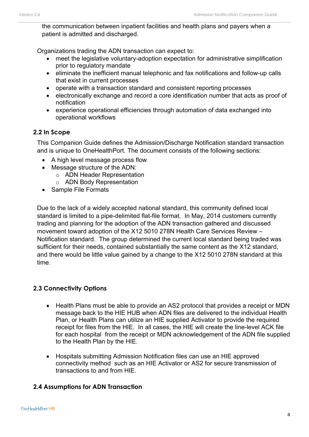the communication between inpatient facilities and health plans and payers when a patient is admitted and discharged.

Organizations trading the ADN transaction can expect to:

- meet the legislative voluntary-adoption expectation for administrative simplification prior to regulatory mandate
- eliminate the inefficient manual telephonic and fax notifications and follow-up calls that exist in current processes
- operate with a transaction standard and consistent reporting processes
- electronically exchange and record a core identification number that acts as proof of notification
- experience operational efficiencies through automation of data exchanged into operational workflows

### <span id="page-3-0"></span>**2.2 In Scope**

This Companion Guide defines the Admission/Discharge Notification standard transaction and is unique to OneHealthPort. The document consists of the following sections:

- A high level message process flow
- Message structure of the ADN:
	- o ADN Header Representation
	- o ADN Body Representation
- Sample File Formats

Due to the lack of a widely accepted national standard, this community defined local standard is limited to a pipe-delimited flat-file format. In May, 2014 customers currently trading and planning for the adoption of the ADN transaction gathered and discussed movement toward adoption of the X12 5010 278N Health Care Services Review – Notification standard. The group determined the current local standard being traded was sufficient for their needs, contained substantially the same content as the X12 standard, and there would be little value gained by a change to the X12 5010 278N standard at this time.

### <span id="page-3-1"></span>**2.3 Connectivity Options**

- Health Plans must be able to provide an AS2 protocol that provides a receipt or MDN message back to the HIE HUB when ADN files are delivered to the individual Health Plan, or Health Plans can utilize an HIE supplied Activator to provide the required receipt for files from the HIE. In all cases, the HIE will create the line-level ACK file for each hospital from the receipt or MDN acknowledgement of the ADN file supplied to the Health Plan by the HIE.
- Hospitals submitting Admission Notification files can use an HIE approved connectivity method such as an HIE Activator or AS2 for secure transmission of transactions to and from HIE.

### <span id="page-3-2"></span>**2.4 Assumptions for ADN Transaction**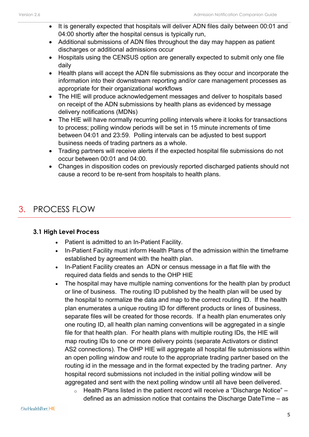- It is generally expected that hospitals will deliver ADN files daily between 00:01 and 04:00 shortly after the hospital census is typically run,
- Additional submissions of ADN files throughout the day may happen as patient discharges or additional admissions occur
- Hospitals using the CENSUS option are generally expected to submit only one file daily
- Health plans will accept the ADN file submissions as they occur and incorporate the information into their downstream reporting and/or care management processes as appropriate for their organizational workflows
- The HIE will produce acknowledgement messages and deliver to hospitals based on receipt of the ADN submissions by health plans as evidenced by message delivery notifications (MDNs)
- The HIE will have normally recurring polling intervals where it looks for transactions to process; polling window periods will be set in 15 minute increments of time between 04:01 and 23:59. Polling intervals can be adjusted to best support business needs of trading partners as a whole.
- Trading partners will receive alerts if the expected hospital file submissions do not occur between 00:01 and 04:00.
- Changes in disposition codes on previously reported discharged patients should not cause a record to be re-sent from hospitals to health plans.

### <span id="page-4-0"></span>3. PROCESS FLOW

### <span id="page-4-1"></span>**3.1 High Level Process**

- Patient is admitted to an In-Patient Facility.
- In-Patient Facility must inform Health Plans of the admission within the timeframe established by agreement with the health plan.
- In-Patient Facility creates an ADN or census message in a flat file with the required data fields and sends to the OHP HIE
- The hospital may have multiple naming conventions for the health plan by product or line of business. The routing ID published by the health plan will be used by the hospital to normalize the data and map to the correct routing ID. If the health plan enumerates a unique routing ID for different products or lines of business, separate files will be created for those records. If a health plan enumerates only one routing ID, all health plan naming conventions will be aggregated in a single file for that health plan. For health plans with multiple routing IDs, the HIE will map routing IDs to one or more delivery points (separate Activators or distinct AS2 connections). The OHP HIE will aggregate all hospital file submissions within an open polling window and route to the appropriate trading partner based on the routing id in the message and in the format expected by the trading partner. Any hospital record submissions not included in the initial polling window will be aggregated and sent with the next polling window until all have been delivered.
	- $\circ$  Health Plans listed in the patient record will receive a "Discharge Notice" defined as an admission notice that contains the Discharge DateTime – as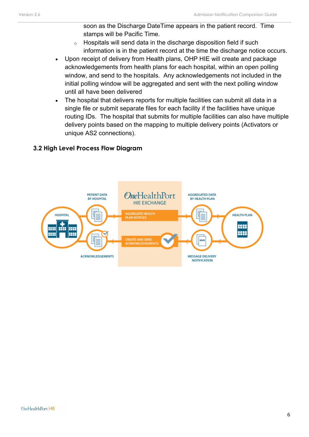soon as the Discharge DateTime appears in the patient record. Time stamps will be Pacific Time.

- $\circ$  Hospitals will send data in the discharge disposition field if such information is in the patient record at the time the discharge notice occurs.
- Upon receipt of delivery from Health plans, OHP HIE will create and package acknowledgements from health plans for each hospital, within an open polling window, and send to the hospitals. Any acknowledgements not included in the initial polling window will be aggregated and sent with the next polling window until all have been delivered
- The hospital that delivers reports for multiple facilities can submit all data in a single file or submit separate files for each facility if the facilities have unique routing IDs. The hospital that submits for multiple facilities can also have multiple delivery points based on the mapping to multiple delivery points (Activators or unique AS2 connections).

### <span id="page-5-0"></span>**3.2 High Level Process Flow Diagram**

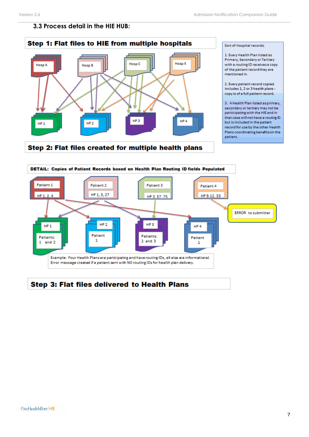### <span id="page-6-0"></span>**3.3 Process detail in the HIE HUB:**



Step 2: Flat files created for multiple health plans

Sort of Hospital records:

1. Every Health Plan listed as Primary, Secondary or Tertiary with a routing ID receives a copy of the patient record they are mentioned in.

2. Every patient record copied includes 1, 2 or 3 health plans copy is of a full patient record.

3. A Health Plan listed as primary, secondary or tertiary may not be participating with the HIE and in that case will not have a routing ID but is included in the patient record for use by the other Health Plans coordinating benefits on the patient.

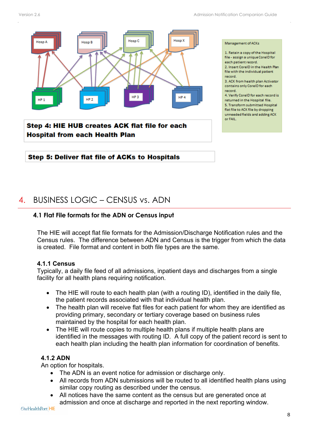

### <span id="page-7-0"></span>Step 5: Deliver flat file of ACKs to Hospitals

### 4. BUSINESS LOGIC – CENSUS vs. ADN

#### <span id="page-7-1"></span>**4.1 Flat File formats for the ADN or Census input**

The HIE will accept flat file formats for the Admission/Discharge Notification rules and the Census rules. The difference between ADN and Census is the trigger from which the data is created. File format and content in both file types are the same.

#### **4.1.1 Census**

Typically, a daily file feed of all admissions, inpatient days and discharges from a single facility for all health plans requiring notification.

- The HIE will route to each health plan (with a routing ID), identified in the daily file, the patient records associated with that individual health plan.
- The health plan will receive flat files for each patient for whom they are identified as providing primary, secondary or tertiary coverage based on business rules maintained by the hospital for each health plan.
- The HIE will route copies to multiple health plans if multiple health plans are identified in the messages with routing ID. A full copy of the patient record is sent to each health plan including the health plan information for coordination of benefits.

### **4.1.2 ADN**

An option for hospitals.

- The ADN is an event notice for admission or discharge only.
- All records from ADN submissions will be routed to all identified health plans using similar copy routing as described under the census.
- All notices have the same content as the census but are generated once at admission and once at discharge and reported in the next reporting window.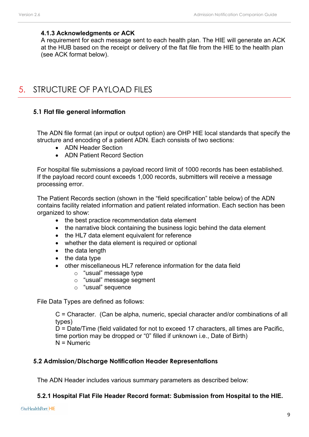#### **4.1.3 Acknowledgments or ACK**

A requirement for each message sent to each health plan. The HIE will generate an ACK at the HUB based on the receipt or delivery of the flat file from the HIE to the health plan (see ACK format below).

### <span id="page-8-0"></span>5. STRUCTURE OF PAYLOAD FILES

#### <span id="page-8-1"></span>**5.1 Flat file general information**

The ADN file format (an input or output option) are OHP HIE local standards that specify the structure and encoding of a patient ADN. Each consists of two sections:

- ADN Header Section
- ADN Patient Record Section

For hospital file submissions a payload record limit of 1000 records has been established. If the payload record count exceeds 1,000 records, submitters will receive a message processing error.

The Patient Records section (shown in the "field specification" table below) of the ADN contains facility related information and patient related information. Each section has been organized to show:

- the best practice recommendation data element
- the narrative block containing the business logic behind the data element
- the HL7 data element equivalent for reference
- whether the data element is required or optional
- the data length
- the data type
- other miscellaneous HL7 reference information for the data field
	- o "usual" message type
	- o "usual" message segment
	- o "usual" sequence

File Data Types are defined as follows:

C = Character. (Can be alpha, numeric, special character and/or combinations of all types)

D = Date/Time (field validated for not to exceed 17 characters, all times are Pacific, time portion may be dropped or "0" filled if unknown i.e., Date of Birth) N = Numeric

#### <span id="page-8-2"></span>**5.2 Admission/Discharge Notification Header Representations**

The ADN Header includes various summary parameters as described below:

#### **5.2.1 Hospital Flat File Header Record format: Submission from Hospital to the HIE.**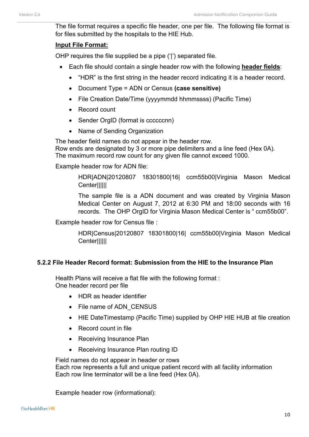The file format requires a specific file header, one per file. The following file format is for files submitted by the hospitals to the HIE Hub.

#### **Input File Format:**

OHP requires the file supplied be a pipe ('|') separated file.

- Each file should contain a single header row with the following **header fields**:
	- "HDR" is the first string in the header record indicating it is a header record.
	- Document Type = ADN or Census **(case sensitive)**
	- File Creation Date/Time (yyyymmdd hhmmssss) (Pacific Time)
	- Record count
	- Sender OrgID (format is ccccccnn)
	- Name of Sending Organization

The header field names do not appear in the header row.

Row ends are designated by 3 or more pipe delimiters and a line feed (Hex 0A). The maximum record row count for any given file cannot exceed 1000.

Example header row for ADN file:

HDR|ADN|20120807 18301800|16| ccm55b00|Virginia Mason Medical Center||||||

The sample file is a ADN document and was created by Virginia Mason Medical Center on August 7, 2012 at 6:30 PM and 18:00 seconds with 16 records. The OHP OrgID for Virginia Mason Medical Center is " ccm55b00".

Example header row for Census file :

HDR|Census|20120807 18301800|16| ccm55b00|Virginia Mason Medical Center||||||

### **5.2.2 File Header Record format: Submission from the HIE to the Insurance Plan**

Health Plans will receive a flat file with the following format : One header record per file

- HDR as header identifier
- File name of ADN CENSUS
- HIE DateTimestamp (Pacific Time) supplied by OHP HIE HUB at file creation
- Record count in file
- Receiving Insurance Plan
- Receiving Insurance Plan routing ID

Field names do not appear in header or rows Each row represents a full and unique patient record with all facility information Each row line terminator will be a line feed (Hex 0A).

Example header row (informational):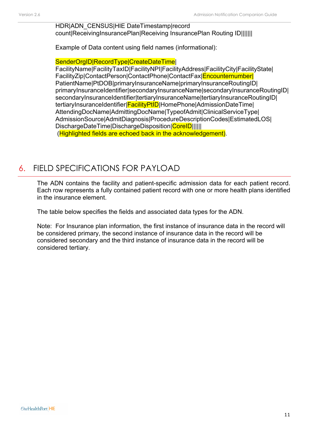#### HDR|ADN\_CENSUS|HIE DateTimestamp|record count|ReceivingInsurancePlan|Receiving InsurancePlan Routing ID|||||||

Example of Data content using field names (informational):

SenderOrgIDIRecordTypelCreateDateTimel

FacilityName|FacilityTaxID|FacilityNPI|FacilityAddress|FacilityCity|FacilityState| FacilityZip|ContactPerson|ContactPhone|ContactFax|Encounternumber| PatientName|PtDOB|primaryInsuranceName|primaryInsuranceRoutingID| primaryInsuranceIdentifier|secondaryInsuranceName|secondaryInsuranceRoutingID| secondaryInsuranceIdentifier|tertiaryInsuranceName|tertiaryInsuranceRoutingID| tertiaryInsuranceIdentifier|FacilityPtID|HomePhone|AdmissionDateTime| AttendingDocName|AdmittingDocName|TypeofAdmit|ClinicalServiceType| AdmissionSource|AdmitDiagnosis|ProcedureDescriptionCodes|EstimatedLOS| DischargeDateTime|DischargeDisposition|CoreID||||||| (Highlighted fields are echoed back in the acknowledgement).

### <span id="page-10-0"></span>6. FIELD SPECIFICATIONS FOR PAYLOAD

The ADN contains the facility and patient-specific admission data for each patient record. Each row represents a fully contained patient record with one or more health plans identified in the insurance element.

The table below specifies the fields and associated data types for the ADN.

Note: For Insurance plan information, the first instance of insurance data in the record will be considered primary, the second instance of insurance data in the record will be considered secondary and the third instance of insurance data in the record will be considered tertiary.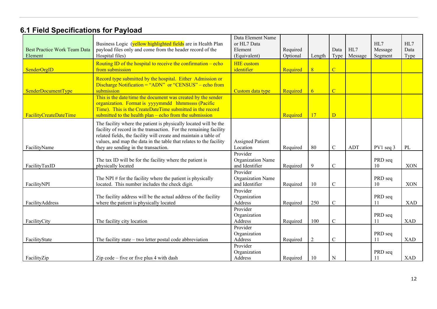### **6.1 Field Specifications for Payload**

| <b>Best Practice Work Team Data</b><br>Element | Business Logic (yellow highlighted fields are in Health Plan<br>payload files only and come from the header record of the<br>Hospital files)                                                                                                                                                                            | Data Element Name<br>or HL7 Data<br>Element<br>(Equivalent) | Required<br>Optional | Length         | Data<br>Type   | HL7<br>Message | HL7<br>Message<br>Segment | HL7<br>Data<br>Type |
|------------------------------------------------|-------------------------------------------------------------------------------------------------------------------------------------------------------------------------------------------------------------------------------------------------------------------------------------------------------------------------|-------------------------------------------------------------|----------------------|----------------|----------------|----------------|---------------------------|---------------------|
| SenderOrgID                                    | Routing ID of the hospital to receive the confirmation $-$ echo<br>from submission                                                                                                                                                                                                                                      | <b>HIE</b> custom<br>identifier                             | Required             | 8              | $\overline{C}$ |                |                           |                     |
| SenderDocumentType                             | Record type submitted by the hospital. Either Admission or<br>Discharge Notification = "ADN" or "CENSUS" – echo from<br>submission                                                                                                                                                                                      | Custom data type                                            | Required             | 6 <sup>1</sup> | $\overline{C}$ |                |                           |                     |
| <b>FacilityCreateDateTime</b>                  | This is the date/time the document was created by the sender<br>organization. Format is yyyymmdd hhmmssss (Pacific<br>Time). This is the CreateDateTime submitted in the record<br>submitted to the health $plan$ – echo from the submission                                                                            |                                                             | Required             | 17             | $\overline{D}$ |                |                           |                     |
| FacilityName                                   | The facility where the patient is physically located will be the<br>facility of record in the transaction. For the remaining facility<br>related fields, the facility will create and maintain a table of<br>values, and map the data in the table that relates to the facility<br>they are sending in the transaction. | <b>Assigned Patient</b><br>Location                         | Required             | 80             | $\mathbf C$    | <b>ADT</b>     | PV1 seq 3                 | PL                  |
| FacilityTaxID                                  | The tax ID will be for the facility where the patient is<br>physically located                                                                                                                                                                                                                                          | Provider<br>Organization Name<br>and Identifier             | Required             | 9              | $\mathcal{C}$  |                | PRD seq<br>10             | <b>XON</b>          |
| FacilityNPI                                    | The NPI $#$ for the facility where the patient is physically<br>located. This number includes the check digit.                                                                                                                                                                                                          | Provider<br>Organization Name<br>and Identifier             | Required             | 10             | $\mathcal{C}$  |                | PRD seq<br>10             | XON                 |
| FacilityAddress                                | The facility address will be the actual address of the facility<br>where the patient is physically located                                                                                                                                                                                                              | Provider<br>Organization<br>Address                         | Required             | 250            | $\mathbf C$    |                | PRD seq<br>11             | <b>XAD</b>          |
| FacilityCity                                   | The facility city location                                                                                                                                                                                                                                                                                              | Provider<br>Organization<br>Address                         | Required             | 100            | $\mathcal{C}$  |                | PRD seq<br>11             | <b>XAD</b>          |
| FacilityState                                  | The facility state $-$ two letter postal code abbreviation                                                                                                                                                                                                                                                              | Provider<br>Organization<br>Address                         | Required             | $\overline{2}$ | $\mathcal{C}$  |                | PRD seq<br>11             | <b>XAD</b>          |
| FacilityZip                                    | Zip code $-$ five or five plus 4 with dash                                                                                                                                                                                                                                                                              | Provider<br>Organization<br>Address                         | Required             | 10             | ${\bf N}$      |                | PRD seq<br>11             | <b>XAD</b>          |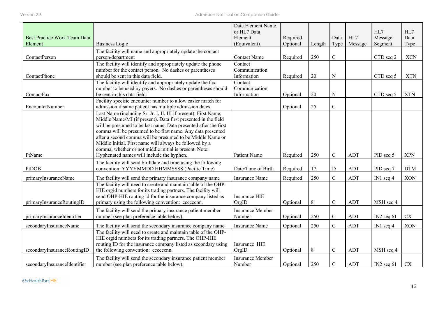|                                     |                                                                                                                                    | Data Element Name<br>or HL7 Data |          |         |             |            | HL7          | HL7        |
|-------------------------------------|------------------------------------------------------------------------------------------------------------------------------------|----------------------------------|----------|---------|-------------|------------|--------------|------------|
| <b>Best Practice Work Team Data</b> |                                                                                                                                    | Element                          | Required |         | Data        | HL7        | Message      | Data       |
| Element                             | <b>Business Logic</b>                                                                                                              | (Equivalent)                     | Optional | Length  | Type        | Message    | Segment      | Type       |
|                                     | The facility will name and appropriately update the contact                                                                        |                                  |          |         |             |            |              |            |
| ContactPerson                       | person/department                                                                                                                  | <b>Contact Name</b>              | Required | 250     | $\mathbf C$ |            | CTD seq 2    | <b>XCN</b> |
|                                     | The facility will identify and appropriately update the phone                                                                      | Contact                          |          |         |             |            |              |            |
|                                     | number for the contact person. No dashes or parentheses                                                                            | Communication                    |          |         |             |            |              |            |
| ContactPhone                        | should be sent in this data field.                                                                                                 | Information                      | Required | 20      | ${\bf N}$   |            | CTD seq 5    | <b>XTN</b> |
|                                     | The facility will identify and appropriately update the fax                                                                        | Contact                          |          |         |             |            |              |            |
|                                     | number to be used by payers. No dashes or parentheses should                                                                       | Communication                    |          |         |             |            |              |            |
| ContactFax                          | be sent in this data field.                                                                                                        | Information                      | Optional | 20      | ${\bf N}$   |            | CTD seq 5    | <b>XTN</b> |
|                                     | Facility specific encounter number to allow easier match for                                                                       |                                  |          |         | $\mathsf C$ |            |              |            |
| <b>EncounterNumber</b>              | admission if same patient has multiple admission dates.                                                                            |                                  | Optional | 25      |             |            |              |            |
|                                     | Last Name (including Sr. Jr. I, II, III if present), First Name,<br>Middle Name/MI (if present). Data first presented in the field |                                  |          |         |             |            |              |            |
|                                     | will be presumed to be last name. Data presented after the first                                                                   |                                  |          |         |             |            |              |            |
|                                     | comma will be presumed to be first name. Any data presented                                                                        |                                  |          |         |             |            |              |            |
|                                     | after a second comma will be presumed to be Middle Name or                                                                         |                                  |          |         |             |            |              |            |
|                                     | Middle Initial. First name will always be followed by a                                                                            |                                  |          |         |             |            |              |            |
|                                     | comma, whether or not middle initial is present. Note:                                                                             |                                  |          |         |             |            |              |            |
| PtName                              | Hyphenated names will include the hyphen.                                                                                          | Patient Name                     | Required | 250     | $\mathbf C$ | <b>ADT</b> | PID seq 5    | <b>XPN</b> |
|                                     | The facility will send birthdate and time using the following                                                                      |                                  |          |         |             |            |              |            |
| PtDOB                               | convention: YYYYMMDD HHMMSSSS (Pacific Time)                                                                                       | Date/Time of Birth               | Required | 17      | ${\bf D}$   | <b>ADT</b> | PID seq 7    | <b>DTM</b> |
| primaryInsuranceName                | The facility will send the primary insurance company name                                                                          | Insurance Name                   | Required | 250     | $\mathbf C$ | ADT        | IN1 seq $4$  | <b>XON</b> |
|                                     | The facility will need to create and maintain table of the OHP-                                                                    |                                  |          |         |             |            |              |            |
|                                     | HIE orgid numbers for its trading partners. The facility will                                                                      |                                  |          |         |             |            |              |            |
|                                     | send OHP-HIE routing id for the insurance company listed as                                                                        | Insurance HIE                    |          |         |             |            |              |            |
| primaryInsuranceRoutingID           | primary using the following convention: ccccccnn.                                                                                  | OrgID                            | Optional | $\,8\,$ | $\mathsf C$ | <b>ADT</b> | MSH seq 4    |            |
|                                     | The facility will send the primary insurance patient member                                                                        | <b>Insurance Member</b>          |          |         |             |            |              |            |
| primaryInsuranceIdentifier          | number (see plan preference table below).                                                                                          | Number                           | Optional | 250     | ${\bf C}$   | <b>ADT</b> | IN2 seq $61$ | CX         |
| secondaryInsuranceName              | The facility will send the secondary insurance company name                                                                        | <b>Insurance Name</b>            | Optional | 250     | $\mathbf C$ | <b>ADT</b> | IN1 seq $4$  | <b>XON</b> |
|                                     | The facility will need to create and maintain table of the OHP-                                                                    |                                  |          |         |             |            |              |            |
|                                     | HIE orgid numbers for its trading partners. The OHP-HIE                                                                            |                                  |          |         |             |            |              |            |
|                                     | routing ID for the insurance company listed as secondary using                                                                     | Insurance HIE                    |          |         |             |            |              |            |
| secondaryInsuranceRoutingID         | the following convention: ccccccnn.                                                                                                | OrgID                            | Optional | $\,8\,$ | $\mathbf C$ | <b>ADT</b> | MSH seq 4    |            |
|                                     | The facility will send the secondary insurance patient member                                                                      | <b>Insurance Member</b>          |          |         |             |            |              |            |
| secondaryInsuranceIdentifier        | number (see plan preference table below).                                                                                          | Number                           | Optional | 250     | ${\bf C}$   | <b>ADT</b> | $IN2$ seq 61 | CX         |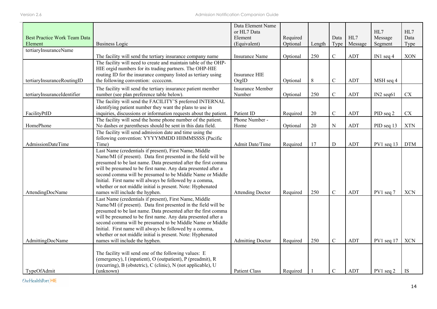| <b>Best Practice Work Team Data</b><br>Element | <b>Business Logic</b>                                                                                                                                                                                                                                                                                                                                                                                                                                                                | Data Element Name<br>or HL7 Data<br>Element<br>(Equivalent) | Required<br>Optional | Length | Data<br>Type | HL7<br>Message | HL7<br>Message<br>Segment | HL7<br>Data<br>Type |
|------------------------------------------------|--------------------------------------------------------------------------------------------------------------------------------------------------------------------------------------------------------------------------------------------------------------------------------------------------------------------------------------------------------------------------------------------------------------------------------------------------------------------------------------|-------------------------------------------------------------|----------------------|--------|--------------|----------------|---------------------------|---------------------|
| tertiaryInsuranceName                          |                                                                                                                                                                                                                                                                                                                                                                                                                                                                                      |                                                             |                      |        |              |                |                           |                     |
|                                                | The facility will send the tertiary insurance company name                                                                                                                                                                                                                                                                                                                                                                                                                           | <b>Insurance Name</b>                                       | Optional             | 250    | $\mathbf C$  | ADT            | IN1 seq $4$               | <b>XON</b>          |
| tertiaryInsuranceRoutingID                     | The facility will need to create and maintain table of the OHP-<br>HIE orgid numbers for its trading partners. The OHP-HIE<br>routing ID for the insurance company listed as tertiary using<br>the following convention: ccccccnn.                                                                                                                                                                                                                                                   | Insurance HIE<br>OrgID                                      | Optional             | 8      | $\mathbf C$  | ADT            | MSH seq 4                 |                     |
| tertiaryInsuranceIdentifier                    | The facility will send the tertiary insurance patient member<br>number (see plan preference table below).                                                                                                                                                                                                                                                                                                                                                                            | <b>Insurance Member</b><br>Number                           | Optional             | 250    | $\mathbf C$  | ADT            | $IN2$ seq $61$            | ${\rm CX}$          |
| FacilityPtID                                   | The facility will send the FACILITY'S preferred INTERNAL<br>identifying patient number they want the plans to use in<br>inquiries, discussions or information requests about the patient.                                                                                                                                                                                                                                                                                            | Patient ID                                                  | Required             | 20     | $\mathbf C$  | ADT            | PID seq 2                 | CX                  |
| HomePhone                                      | The facility will send the home phone number of the patient.<br>No dashes or parentheses should be sent in this data field.                                                                                                                                                                                                                                                                                                                                                          | Phone Number -<br>Home                                      | Optional             | 20     | ${\bf N}$    | ADT            | PID seq 13                | <b>XTN</b>          |
| AdmissionDateTime                              | The facility will send admission date and time using the<br>following convention: YYYYMMDD HHMMSSSS (Pacific<br>Time)                                                                                                                                                                                                                                                                                                                                                                | Admit Date/Time                                             | Required             | 17     | $\mathbf D$  | ADT            | $PV1$ seq 13              | <b>DTM</b>          |
| AttendingDocName                               | Last Name (credentials if present), First Name, Middle<br>Name/MI (if present). Data first presented in the field will be<br>presumed to be last name. Data presented after the first comma<br>will be presumed to be first name. Any data presented after a<br>second comma will be presumed to be Middle Name or Middle<br>Initial. First name will always be followed by a comma,<br>whether or not middle initial is present. Note: Hyphenated<br>names will include the hyphen. | <b>Attending Doctor</b>                                     | Required             | 250    | $\mathbf C$  | ADT            | $PV1$ seq $7$             | <b>XCN</b>          |
|                                                | Last Name (credentials if present), First Name, Middle<br>Name/MI (if present). Data first presented in the field will be<br>presumed to be last name. Data presented after the first comma<br>will be presumed to be first name. Any data presented after a<br>second comma will be presumed to be Middle Name or Middle<br>Initial. First name will always be followed by a comma,<br>whether or not middle initial is present. Note: Hyphenated                                   |                                                             |                      |        |              |                |                           |                     |
| AdmittingDocName                               | names will include the hyphen.                                                                                                                                                                                                                                                                                                                                                                                                                                                       | <b>Admitting Doctor</b>                                     | Required             | 250    | $\mathbf C$  | ADT            | PV1 seq 17                | <b>XCN</b>          |
| TypeOfAdmit                                    | The facility will send one of the following values: E<br>(emergency), I (inpatient), O (outpatient), P (preadmit), R<br>(recurring), B (obstetric), C (clinic), N (not applicable), U<br>(unknown)                                                                                                                                                                                                                                                                                   | <b>Patient Class</b>                                        | Required             |        | $\mathbf C$  | ADT            | $PV1$ seq 2               | <b>IS</b>           |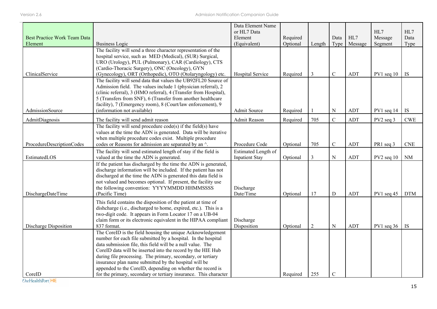|                                     |                                                                  | Data Element Name     |          |                |             |            |              |                             |
|-------------------------------------|------------------------------------------------------------------|-----------------------|----------|----------------|-------------|------------|--------------|-----------------------------|
|                                     |                                                                  | or HL7 Data           |          |                |             |            | HL7          | HL7                         |
| <b>Best Practice Work Team Data</b> |                                                                  | Element               | Required |                | Data        | HL7        | Message      | Data                        |
| Element                             | <b>Business Logic</b>                                            | (Equivalent)          | Optional | Length         | Type        | Message    | Segment      | Type                        |
|                                     | The facility will send a three character representation of the   |                       |          |                |             |            |              |                             |
|                                     | hospital service, such as MED (Medical), (SUR) Surgical,         |                       |          |                |             |            |              |                             |
|                                     | URO (Urology), PUL (Pulmonary), CAR (Cardiology), CTS            |                       |          |                |             |            |              |                             |
|                                     | (Cardio-Thoracic Surgery), ONC (Oncology), GYN                   |                       |          |                |             |            |              |                             |
| ClinicalService                     | (Gynecology), ORT (Orthopedic), OTO (Otolaryngology) etc.        | Hospital Service      | Required | $\overline{3}$ | ${\bf C}$   | ADT        | $PV1$ seq 10 | <b>IS</b>                   |
|                                     | The facility will send data that values the UB92FL20 Source of   |                       |          |                |             |            |              |                             |
|                                     | Admission field. The values include 1 (physician referral), 2    |                       |          |                |             |            |              |                             |
|                                     | (clinic referral), 3 (HMO referral), 4 (Transfer from Hospital), |                       |          |                |             |            |              |                             |
|                                     | 5 (Transfers from SNF), 6 (Transfer from another healthcare      |                       |          |                |             |            |              |                             |
|                                     | facility), 7 (Emergency room), 8 (Court/law enforcement), 9      |                       |          |                |             |            |              |                             |
| AdmissionSource                     | (information not available)                                      | Admit Source          | Required |                | $\mathbf N$ | <b>ADT</b> | PV1 seq 14   | <b>IS</b>                   |
| AdmitDiagnosis                      | The facility will send admit reason                              | Admit Reason          | Required | 705            | $\mathbf C$ | ADT        | $PV2$ seq 3  | <b>CWE</b>                  |
|                                     | The facility will send procedure $code(s)$ if the field(s) have  |                       |          |                |             |            |              |                             |
|                                     | values at the time the ADN is generated. Data will be iterative  |                       |          |                |             |            |              |                             |
|                                     | when multiple procedure codes exist. Multiple procedure          |                       |          |                |             |            |              |                             |
| ProcedureDescriptionCodes           | codes or Reasons for admission are separated by an ^.            | Procedure Code        | Optional | 705            | $\mathbf C$ | ADT        | PR1 seq 3    | $\ensuremath{\mathrm{CNE}}$ |
|                                     | The facility will send estimated length of stay if the field is  | Estimated Length of   |          |                |             |            |              |                             |
| EstimatedLOS                        | valued at the time the ADN is generated.                         | <b>Inpatient Stay</b> | Optional | $\mathfrak{Z}$ | ${\bf N}$   | ADT        | $PV2$ seq 10 | $\rm NM$                    |
|                                     | If the patient has discharged by the time the ADN is generated,  |                       |          |                |             |            |              |                             |
|                                     | discharge information will be included. If the patient has not   |                       |          |                |             |            |              |                             |
|                                     | discharged at the time the ADN is generated this data field is   |                       |          |                |             |            |              |                             |
|                                     | not valued and becomes optional. If present, the facility use    |                       |          |                |             |            |              |                             |
|                                     | the following convention: YYYYMMDD HHMMSSSS                      | Discharge             |          |                |             |            |              |                             |
| DischargeDateTime                   | (Pacific Time)                                                   | Date/Time             | Optional | 17             | D           | <b>ADT</b> | $PV1$ seq 45 | <b>DTM</b>                  |
|                                     | This field contains the disposition of the patient at time of    |                       |          |                |             |            |              |                             |
|                                     | dishcharge (i.e., discharged to home, expired, etc.). This is a  |                       |          |                |             |            |              |                             |
|                                     | two-digit code. It appears in Form Locator 17 on a UB-04         |                       |          |                |             |            |              |                             |
|                                     | claim form or its electronic equivalent in the HIPAA compliant   | Discharge             |          |                |             |            |              |                             |
| Discharge Disposition               | 837 format.                                                      | Disposition           | Optional | 2              | ${\bf N}$   | ADT        | $PV1$ seq 36 | <b>IS</b>                   |
|                                     | The CoreID is the field housing the unique Acknowledgement       |                       |          |                |             |            |              |                             |
|                                     | number for each file submitted by a hospital. In the hospital    |                       |          |                |             |            |              |                             |
|                                     | data submission file, this field will be a null value. The       |                       |          |                |             |            |              |                             |
|                                     | CoreID data will be inserted into the record by the HIE Hub      |                       |          |                |             |            |              |                             |
|                                     | during file processing. The primary, secondary, or tertiary      |                       |          |                |             |            |              |                             |
|                                     | insurance plan name submitted by the hospital will be            |                       |          |                |             |            |              |                             |
|                                     | appended to the CoreID, depending on whether the record is       |                       |          |                |             |            |              |                             |
| CoreID                              | for the primary, secondary or tertiary insurance. This character |                       | Required | 255            | $\mathsf C$ |            |              |                             |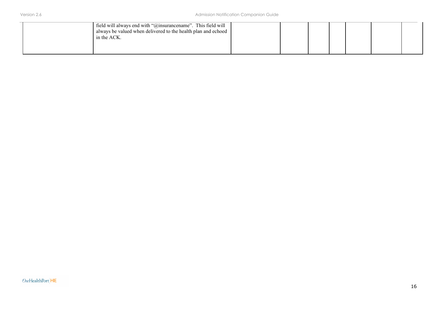| field will always end with " $@$ insurancename". This field will<br>always be valued when delivered to the health plan and echoed<br>in the ACK. |  |  |  |  |
|--------------------------------------------------------------------------------------------------------------------------------------------------|--|--|--|--|
|                                                                                                                                                  |  |  |  |  |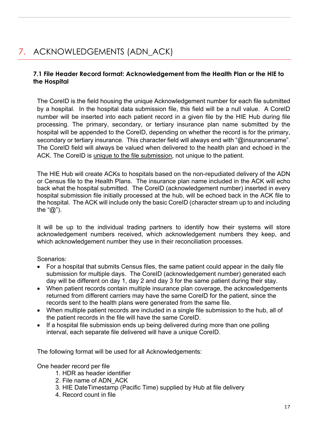### <span id="page-16-0"></span>7. ACKNOWLEDGEMENTS (ADN\_ACK)

### <span id="page-16-1"></span>**7.1 File Header Record format: Acknowledgement from the Health Plan or the HIE to the Hospital**

The CoreID is the field housing the unique Acknowledgement number for each file submitted by a hospital. In the hospital data submission file, this field will be a null value. A CoreID number will be inserted into each patient record in a given file by the HIE Hub during file processing. The primary, secondary, or tertiary insurance plan name submitted by the hospital will be appended to the CoreID, depending on whether the record is for the primary, secondary or tertiary insurance. This character field will always end with "@insurancename". The CoreID field will always be valued when delivered to the health plan and echoed in the ACK. The CoreID is unique to the file submission, not unique to the patient.

The HIE Hub will create ACKs to hospitals based on the non-repudiated delivery of the ADN or Census file to the Health Plans. The insurance plan name included in the ACK will echo back what the hospital submitted. The CoreID (acknowledgement number) inserted in every hospital submission file initially processed at the hub, will be echoed back in the ACK file to the hospital. The ACK will include only the basic CoreID (character stream up to and including the " $@$ ").

It will be up to the individual trading partners to identify how their systems will store acknowledgement numbers received, which acknowledgement numbers they keep, and which acknowledgement number they use in their reconciliation processes.

Scenarios:

- For a hospital that submits Census files, the same patient could appear in the daily file submission for multiple days. The CoreID (acknowledgement number) generated each day will be different on day 1, day 2 and day 3 for the same patient during their stay.
- When patient records contain multiple insurance plan coverage, the acknowledgements returned from different carriers may have the same CoreID for the patient, since the records sent to the health plans were generated from the same file.
- When multiple patient records are included in a single file submission to the hub, all of the patient records in the file will have the same CoreID.
- If a hospital file submission ends up being delivered during more than one polling interval, each separate file delivered will have a unique CoreID.

The following format will be used for all Acknowledgements:

One header record per file

- 1. HDR as header identifier
- 2. File name of ADN\_ACK
- 3. HIE DateTimestamp (Pacific Time) supplied by Hub at file delivery
- 4. Record count in file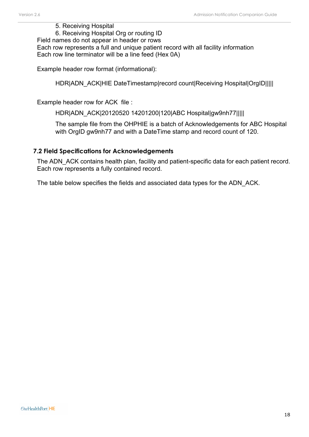#### 5. Receiving Hospital

6. Receiving Hospital Org or routing ID

Field names do not appear in header or rows Each row represents a full and unique patient record with all facility information Each row line terminator will be a line feed (Hex 0A)

Example header row format (informational):

HDR|ADN\_ACK|HIE DateTimestamp|record count|Receiving Hospital|OrgID|||||

Example header row for ACK file :

HDR|ADN\_ACK|20120520 14201200|120|ABC Hospital|gw9nh77|||||

The sample file from the OHPHIE is a batch of Acknowledgements for ABC Hospital with OrgID gw9nh77 and with a DateTime stamp and record count of 120.

#### <span id="page-17-0"></span>**7.2 Field Specifications for Acknowledgements**

The ADN ACK contains health plan, facility and patient-specific data for each patient record. Each row represents a fully contained record.

The table below specifies the fields and associated data types for the ADN\_ACK.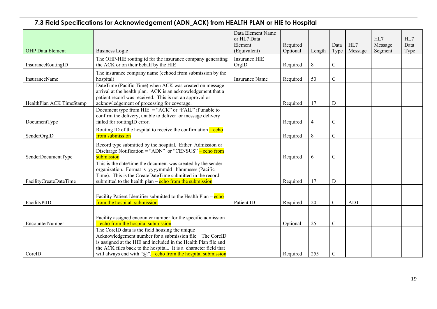### **7.3 Field Specifications for Acknowledgement (ADN\_ACK) from HEALTH PLAN or HIE to Hospital**

<span id="page-18-0"></span>

|                          |                                                                                                                                                                                                                                                                                                                       | Data Element Name<br>or HL7 Data |                      |        |                |                | HL7                | HL7          |
|--------------------------|-----------------------------------------------------------------------------------------------------------------------------------------------------------------------------------------------------------------------------------------------------------------------------------------------------------------------|----------------------------------|----------------------|--------|----------------|----------------|--------------------|--------------|
| <b>OHP</b> Data Element  | <b>Business Logic</b>                                                                                                                                                                                                                                                                                                 | Element<br>(Equivalent)          | Required<br>Optional | Length | Data<br>Type   | HL7<br>Message | Message<br>Segment | Data<br>Type |
| InsuranceRoutingID       | The OHP-HIE routing id for the insurance company generating<br>the ACK or on their behalf by the HIE                                                                                                                                                                                                                  | <b>Insurance HIE</b><br>OrgID    | Required             | 8      | $\mathsf{C}$   |                |                    |              |
| InsuranceName            | The insurance company name (echoed from submission by the<br>hospital)                                                                                                                                                                                                                                                | <b>Insurance Name</b>            | Required             | 50     | $\overline{C}$ |                |                    |              |
| HealthPlan ACK TimeStamp | DateTime (Pacific Time) when ACK was created on message<br>arrival at the health plan. ACK is an acknowledgement that a<br>patient record was received. This is not an approval or<br>acknowledgement of processing for coverage.                                                                                     |                                  | Required             | 17     | $\mathbf D$    |                |                    |              |
| DocumentType             | Document type from $HIE = "ACK"$ or "FAIL" if unable to<br>confirm the delivery, unable to deliver or message delivery<br>failed for routingID error.                                                                                                                                                                 |                                  | Required             | 4      | $\overline{C}$ |                |                    |              |
| SenderOrgID              | Routing ID of the hospital to receive the confirmation $-\text{echo}$<br>from submission                                                                                                                                                                                                                              |                                  | Required             | 8      | $\mathsf{C}$   |                |                    |              |
| SenderDocumentType       | Record type submitted by the hospital. Either Admission or<br>Discharge Notification = "ADN" or "CENSUS" – echo from<br>submission                                                                                                                                                                                    |                                  | Required             | 6      | $\mathsf C$    |                |                    |              |
| FacilityCreateDateTime   | This is the date/time the document was created by the sender<br>organization. Format is yyyymmdd hhmmssss (Pacific<br>Time). This is the CreateDateTime submitted in the record<br>submitted to the health plan $-\frac{\text{echo from the submission}}{\text{from}}$                                                |                                  | Required             | 17     | D              |                |                    |              |
| FacilityPtID             | Facility Patient Identifier submitted to the Health Plan – echo<br>from the hospital submission                                                                                                                                                                                                                       | Patient ID                       | Required             | 20     | $\mathcal{C}$  | <b>ADT</b>     |                    |              |
| <b>EncounterNumber</b>   | Facility assigned encounter number for the specific admission<br>- echo from the hospital submission                                                                                                                                                                                                                  |                                  | Optional             | 25     | $\overline{C}$ |                |                    |              |
| CorelD                   | The CoreID data is the field housing the unique<br>Acknowledgement number for a submission file. The CoreID<br>is assigned at the HIE and included in the Health Plan file and<br>the ACK files back to the hospital It is a character field that<br>will always end with " $@$ ".- echo from the hospital submission |                                  | Required             | 255    | $\mathcal{C}$  |                |                    |              |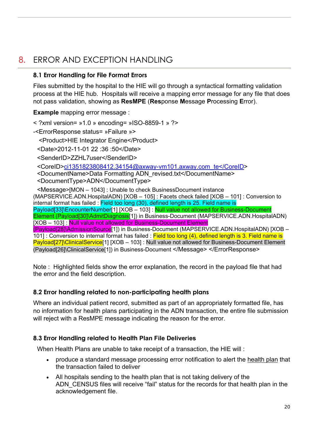### <span id="page-19-0"></span>8. ERROR AND EXCEPTION HANDLING

### <span id="page-19-1"></span>**8.1 Error Handling for File Format Errors**

Files submitted by the hospital to the HIE will go through a syntactical formatting validation process at the HIE hub. Hospitals will receive a mapping error message for any file that does not pass validation, showing as **ResMPE** (**Res**ponse **M**essage **P**rocessing **E**rror).

**Example** mapping error message :

 $\leq$  ?xml version= »1.0 » encoding= »ISO-8859-1 » ?>

-<ErrorResponse status= »Failure »>

<Product>HIE Integrator Engine</Product>

<Date>2012-11-01 22 :36 :50</Date>

<SenderID>ZZHL7user</SenderID>

<CoreID[>ci1351823808412.34154@axway-vm101.axway.com\\_te</CoreID>](mailto:ci1351823808412.34154@axway-vm101.axway.com_te%3c/CoreID)

<DocumentName>Data Formatting ADN\_revised.txt</DocumentName>

<DocumentType>ADN</DocumentType>

<Message>[MON – 1043] : Unable to check BusinessDocument instance (MAPSERVICE.ADN.HospitalADN) [XOB – 105] : Facets check failed [XOB – 101] : Conversion to internal format has failed : Field too long (30), defined length is 25. Field name is Payload[33]\EncounterNumber[1] [XOB - 103] : Null value not allowed for Business-Document Element (Payload[30]\AdmitDiagnosis[1]) in Business-Document (MAPSERVICE.ADN.HospitalADN) [XOB – 103]: Null value not allowed for Business-Document Element (Payload[28]\AdmissionSource[1]) in Business-Document (MAPSERVICE.ADN.HospitalADN) [XOB –

101] : Conversion to internal format has failed : Field too long (4), defined length is 3. Field name is Payload[27]\ClinicalService[1] [XOB – 103] : Null value not allowed for Business-Document Element (Payload[26]\ClinicalService[1]) in Business-Document </Message> </ErrorResponse>

Note : Highlighted fields show the error explanation, the record in the payload file that had the error and the field description.

### <span id="page-19-2"></span>**8.2 Error handling related to non-participating health plans**

Where an individual patient record, submitted as part of an appropriately formatted file, has no information for health plans participating in the ADN transaction, the entire file submission will reject with a ResMPE message indicating the reason for the error.

### **8.3 Error Handling related to Health Plan File Deliveries**

When Health Plans are unable to take receipt of a transaction, the HIE will :

- produce a standard message processing error notification to alert the health plan that the transaction failed to deliver
- All hospitals sending to the health plan that is not taking delivery of the ADN CENSUS files will receive "fail" status for the records for that health plan in the acknowledgement file.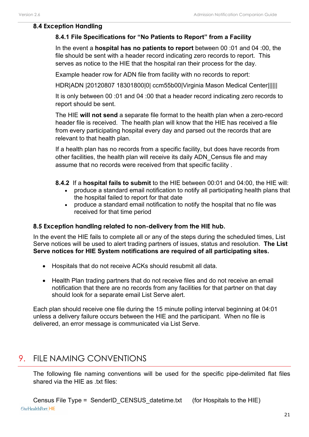#### <span id="page-20-0"></span>**8.4 Exception Handling**

### **8.4.1 File Specifications for "No Patients to Report" from a Facility**

In the event a **hospital has no patients to report** between 00 :01 and 04 :00, the file should be sent with a header record indicating zero records to report. This serves as notice to the HIE that the hospital ran their process for the day.

Example header row for ADN file from facility with no records to report:

HDR|ADN |20120807 18301800|0| ccm55b00|Virginia Mason Medical Center||||||

It is only between 00 :01 and 04 :00 that a header record indicating zero records to report should be sent.

The HIE **will not send** a separate file format to the health plan when a zero-record header file is received. The health plan will know that the HIE has received a file from every participating hospital every day and parsed out the records that are relevant to that health plan.

If a health plan has no records from a specific facility, but does have records from other facilities, the health plan will receive its daily ADN\_Census file and may assume that no records were received from that specific facility .

#### **8.4.2** If a **hospital fails to submit** to the HIE between 00:01 and 04:00, the HIE will:

- produce a standard email notification to notify all participating health plans that the hospital failed to report for that date
- produce a standard email notification to notify the hospital that no file was received for that time period

### <span id="page-20-1"></span>**8.5 Exception handling related to non-delivery from the HIE hub.**

In the event the HIE fails to complete all or any of the steps during the scheduled times, List Serve notices will be used to alert trading partners of issues, status and resolution. **The List Serve notices for HIE System notifications are required of all participating sites.**

- Hospitals that do not receive ACKs should resubmit all data.
- Health Plan trading partners that do not receive files and do not receive an email notification that there are no records from any facilities for that partner on that day should look for a separate email List Serve alert.

<span id="page-20-2"></span>Each plan should receive one file during the 15 minute polling interval beginning at 04:01 unless a delivery failure occurs between the HIE and the participant. When no file is delivered, an error message is communicated via List Serve.

### 9. FILE NAMING CONVENTIONS

The following file naming conventions will be used for the specific pipe-delimited flat files shared via the HIE as .txt files: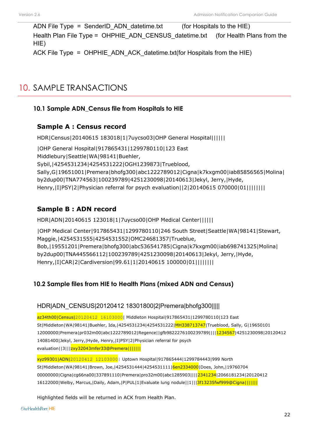ADN File Type = SenderID ADN datetime.txt (for Hospitals to the HIE) Health Plan File Type = OHPHIE\_ADN\_CENSUS\_datetime.txt (for Health Plans from the HIE) ACK File Type = OHPHIE\_ADN\_ACK\_datetime.txt(for Hospitals from the HIE)

### <span id="page-21-0"></span>10. SAMPLE TRANSACTIONS

### <span id="page-21-1"></span>**10.1 Sample ADN\_Census file from Hospitals to HIE**

### **Sample A : Census record**

HDR|Census|20140615 183018|1|7uycso03|OHP General Hospital||||||

|OHP General Hospital|917865431|1299780110|123 East Middlebury|Seattle|WA|98141|Buehler, Sybil,|4254531234|4254531222|OGH1239873|Trueblood, Sally,G|19651001|Premera|bhofg300|abc1222789012|Cigna|k7kxgm00|iab85856565|Molina| by2dup00|TNA774563|100239789|4251230098|20140613|Jekyl, Jerry,|Hyde, Henry,|I|PSY|2|Physician referral for psych evaluation||2|20140615 070000|01||||||||

### **Sample B : ADN record**

HDR|ADN|20140615 123018|1|7uycso00|OHP Medical Center||||||

|OHP Medical Center|917865431|1299780110|246 South Street|Seattle|WA|98141|Stewart, Maggie,|4254531555|4254531552|OMC24681357|Trueblue, Bob,|19551201|Premera|bhofg300|abc536541785|Cigna|k7kxgm00|iab698741325|Molina| by2dup00|TNA445566112|100239789|4251230098|20140613|Jekyl, Jerry,|Hyde, Henry,|I|CAR|2|Cardiversion|99.61|1|20140615 100000|01||||||||

### <span id="page-21-2"></span>**10.2 Sample files from HIE to Health Plans (mixed ADN and Census)**

### HDR|ADN\_CENSUS|20120412 18301800|2|Premera|bhofg300|||||

az34th00|Census|20120412 16103000| Middleton Hospital|917865431|1299780110|123 East St|Middleton|WA|98141|Buehler, Ida,|4254531234|4254531222|MH338713747|Trueblood, Sally, G|19650101 12000000|Premera|pr032m00|abc1222789012|Regence||gfb9822276100239789||||1234567|4251230098|20120412 14081400|Jekyl, Jerry,|Hyde, Henry,|I|PSY|2|Physician referral for psych evaluation||3|||zxy32043mfer33@Premera|||||||

xyz99301|ADN|20120412 12103000| Uptown Hospital|917865444|1299784443|999 North St|Middleton|WA|98141|Brown, Joe,|4254531444|4254531111|6en2334000|Does, John,|19760704 00000000|Cigna|cg66na00|337891110|Premera|pro32m00|abc1285903||||2341234|2066181234|20120412 16122000|Welby, Marcus,|Daily, Adam,|P|PUL|1|Evaluate lung nodule||1|||3f13235fwf999@Cigna|||||||

Highlighted fields will be returned in ACK from Health Plan.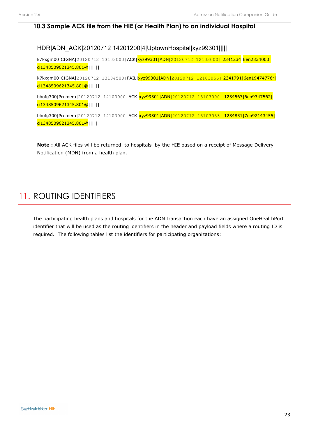#### <span id="page-22-0"></span>**10.3 Sample ACK file from the HIE (or Health Plan) to an individual Hospital**

#### HDR|ADN\_ACK|20120712 14201200|4|UptownHospital|xyz99301|||||

k7kxgm00|CIGNA|20120712 13103000|ACK|xyz99301|ADN|20120712 12103000| 2341234|6en2334000| ci1348509621345.801@||||||

k7kxgm00|CIGNA|20120712 13104500|FAIL|xyz99301|ADN|20120712 12103056| 2341791|6en19474776r| ci1348509621345.801@||||||

bhofg300|Premera|20120712 14103000|ACK|xyz99301|ADN|20120712 13103000| 1234567|6en9347562| ci1348509621345.801@||||||

bhofg300|Premera|20120712 14103000|ACK|xyz99301|ADN|20120712 13103033| 1234851|7en92143455| ci1348509621345.801@|||||

**Note :** All ACK files will be returned to hospitals by the HIE based on a receipt of Message Delivery Notification (MDN) from a health plan.

### <span id="page-22-1"></span>11. ROUTING IDENTIFIERS

The participating health plans and hospitals for the ADN transaction each have an assigned OneHealthPort identifier that will be used as the routing identifiers in the header and payload fields where a routing ID is required. The following tables list the identifiers for participating organizations: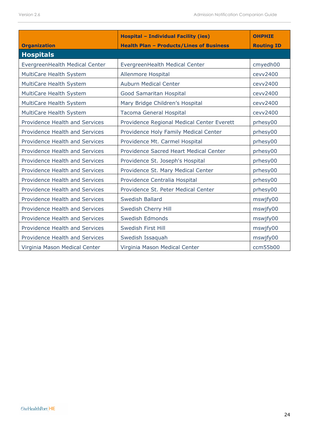|                                       | <b>Hospital - Individual Facility (ies)</b>     | <b>OHPHIE</b>     |
|---------------------------------------|-------------------------------------------------|-------------------|
| <b>Organization</b>                   | <b>Health Plan - Products/Lines of Business</b> | <b>Routing ID</b> |
| <b>Hospitals</b>                      |                                                 |                   |
| EvergreenHealth Medical Center        | EvergreenHealth Medical Center                  | cmyedh00          |
| MultiCare Health System               | Allenmore Hospital                              | cevv2400          |
| MultiCare Health System               | <b>Auburn Medical Center</b>                    | cevv2400          |
| MultiCare Health System               | Good Samaritan Hospital                         | cevv2400          |
| MultiCare Health System               | Mary Bridge Children's Hospital                 | cevv2400          |
| MultiCare Health System               | Tacoma General Hospital                         | cevv2400          |
| Providence Health and Services        | Providence Regional Medical Center Everett      | prhesy00          |
| Providence Health and Services        | Providence Holy Family Medical Center           | prhesy00          |
| Providence Health and Services        | Providence Mt. Carmel Hospital                  | prhesy00          |
| Providence Health and Services        | Providence Sacred Heart Medical Center          | prhesy00          |
| Providence Health and Services        | Providence St. Joseph's Hospital                | prhesy00          |
| Providence Health and Services        | Providence St. Mary Medical Center              | prhesy00          |
| Providence Health and Services        | Providence Centralia Hospital                   | prhesy00          |
| Providence Health and Services        | Providence St. Peter Medical Center             | prhesy00          |
| Providence Health and Services        | <b>Swedish Ballard</b>                          | mswjfy00          |
| Providence Health and Services        | Swedish Cherry Hill                             | mswjfy00          |
| Providence Health and Services        | Swedish Edmonds                                 | mswjfy00          |
| Providence Health and Services        | Swedish First Hill                              | mswjfy00          |
| <b>Providence Health and Services</b> | Swedish Issaquah                                | mswjfy00          |
| Virginia Mason Medical Center         | Virginia Mason Medical Center                   | ccm55b00          |